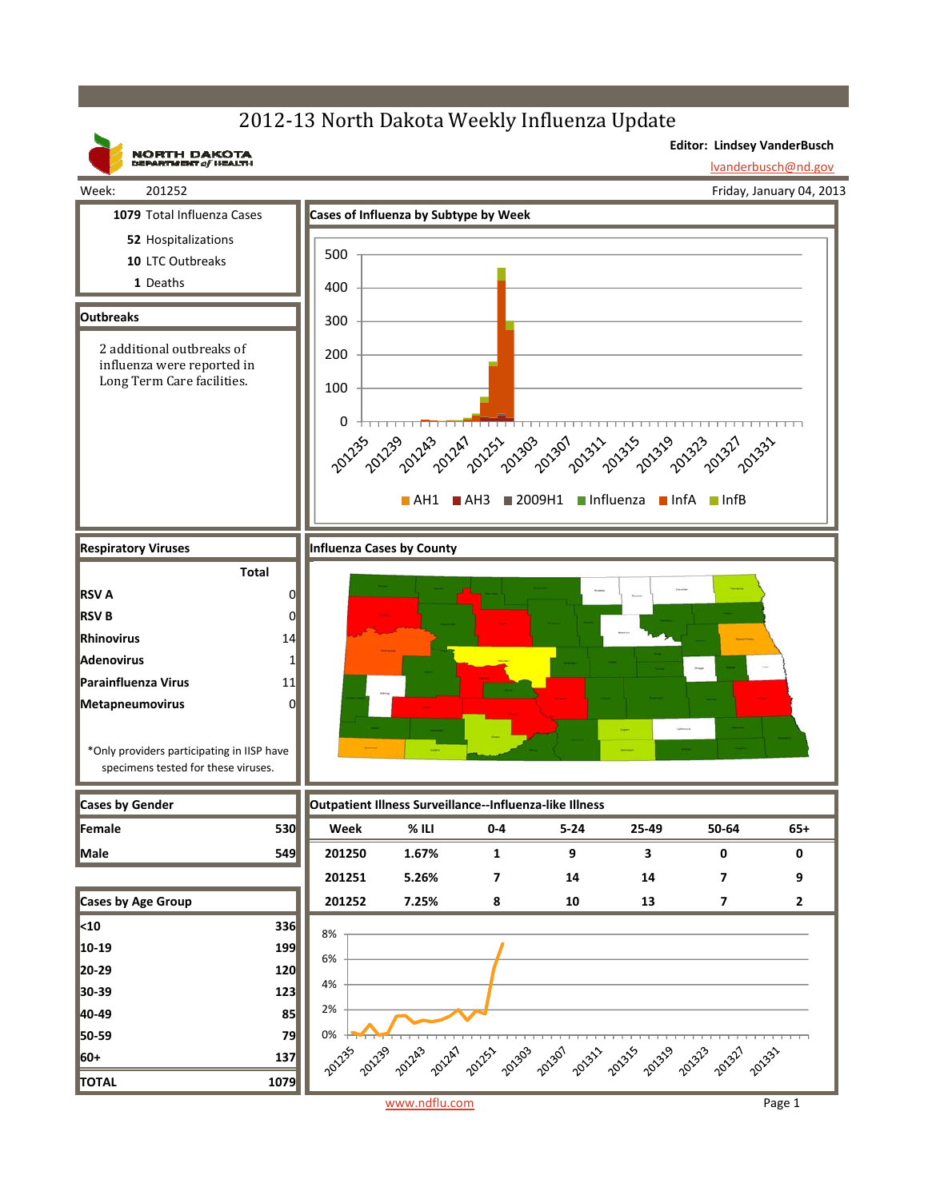## 2012-13 North Dakota Weekly Influenza Update